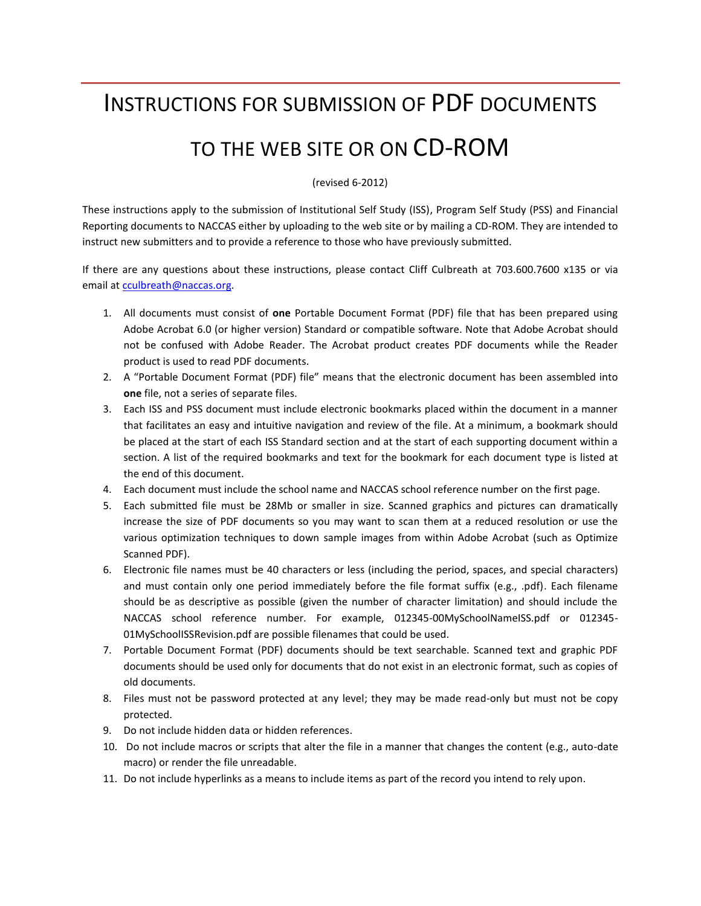#### INSTRUCTIONS FOR SUBMISSION OF PDF DOCUMENTS

#### TO THE WEB SITE OR ON CD-ROM

(revised 6-2012)

These instructions apply to the submission of Institutional Self Study (ISS), Program Self Study (PSS) and Financial Reporting documents to NACCAS either by uploading to the web site or by mailing a CD-ROM. They are intended to instruct new submitters and to provide a reference to those who have previously submitted.

If there are any questions about these instructions, please contact Cliff Culbreath at 703.600.7600 x135 or via email at [cculbreath@naccas.org.](mailto:cculbreath@naccas.org)

- 1. All documents must consist of **one** Portable Document Format (PDF) file that has been prepared using Adobe Acrobat 6.0 (or higher version) Standard or compatible software. Note that Adobe Acrobat should not be confused with Adobe Reader. The Acrobat product creates PDF documents while the Reader product is used to read PDF documents.
- 2. A "Portable Document Format (PDF) file" means that the electronic document has been assembled into **one** file, not a series of separate files.
- 3. Each ISS and PSS document must include electronic bookmarks placed within the document in a manner that facilitates an easy and intuitive navigation and review of the file. At a minimum, a bookmark should be placed at the start of each ISS Standard section and at the start of each supporting document within a section. A list of the required bookmarks and text for the bookmark for each document type is listed at the end of this document.
- 4. Each document must include the school name and NACCAS school reference number on the first page.
- 5. Each submitted file must be 28Mb or smaller in size. Scanned graphics and pictures can dramatically increase the size of PDF documents so you may want to scan them at a reduced resolution or use the various optimization techniques to down sample images from within Adobe Acrobat (such as Optimize Scanned PDF).
- 6. Electronic file names must be 40 characters or less (including the period, spaces, and special characters) and must contain only one period immediately before the file format suffix (e.g., .pdf). Each filename should be as descriptive as possible (given the number of character limitation) and should include the NACCAS school reference number. For example, 012345-00MySchoolNameISS.pdf or 012345- 01MySchoolISSRevision.pdf are possible filenames that could be used.
- 7. Portable Document Format (PDF) documents should be text searchable. Scanned text and graphic PDF documents should be used only for documents that do not exist in an electronic format, such as copies of old documents.
- 8. Files must not be password protected at any level; they may be made read-only but must not be copy protected.
- 9. Do not include hidden data or hidden references.
- 10. Do not include macros or scripts that alter the file in a manner that changes the content (e.g., auto-date macro) or render the file unreadable.
- 11. Do not include hyperlinks as a means to include items as part of the record you intend to rely upon.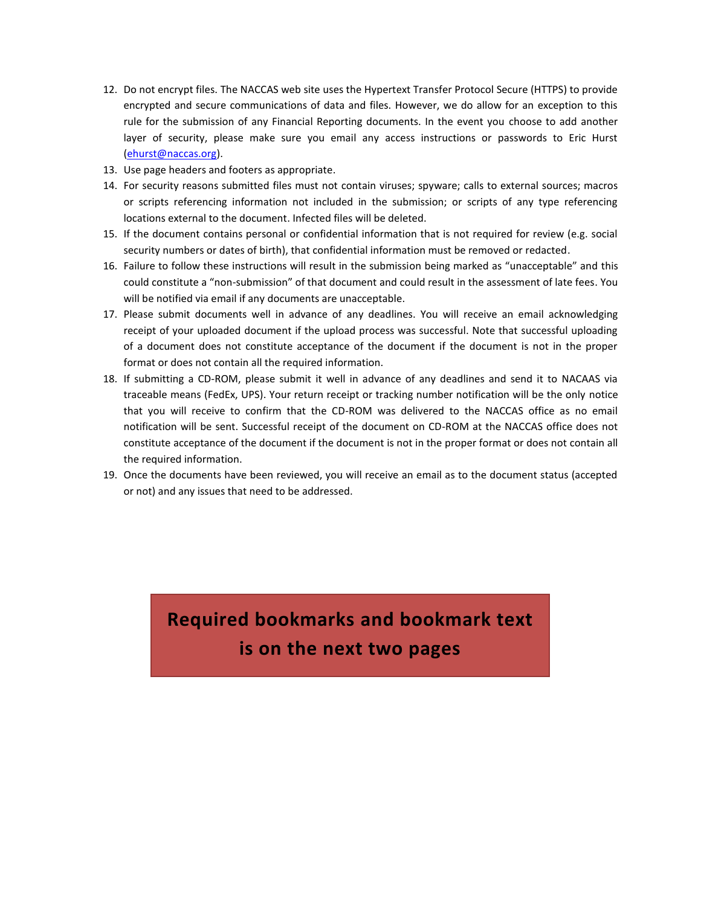- 12. Do not encrypt files. The NACCAS web site uses the Hypertext Transfer Protocol Secure (HTTPS) to provide encrypted and secure communications of data and files. However, we do allow for an exception to this rule for the submission of any Financial Reporting documents. In the event you choose to add another layer of security, please make sure you email any access instructions or passwords to Eric Hurst [\(ehurst@naccas.org\)](mailto:ehurst@naccas.org).
- 13. Use page headers and footers as appropriate.
- 14. For security reasons submitted files must not contain viruses; spyware; calls to external sources; macros or scripts referencing information not included in the submission; or scripts of any type referencing locations external to the document. Infected files will be deleted.
- 15. If the document contains personal or confidential information that is not required for review (e.g. social security numbers or dates of birth), that confidential information must be removed or redacted.
- 16. Failure to follow these instructions will result in the submission being marked as "unacceptable" and this could constitute a "non-submission" of that document and could result in the assessment of late fees. You will be notified via email if any documents are unacceptable.
- 17. Please submit documents well in advance of any deadlines. You will receive an email acknowledging receipt of your uploaded document if the upload process was successful. Note that successful uploading of a document does not constitute acceptance of the document if the document is not in the proper format or does not contain all the required information.
- 18. If submitting a CD-ROM, please submit it well in advance of any deadlines and send it to NACAAS via traceable means (FedEx, UPS). Your return receipt or tracking number notification will be the only notice that you will receive to confirm that the CD-ROM was delivered to the NACCAS office as no email notification will be sent. Successful receipt of the document on CD-ROM at the NACCAS office does not constitute acceptance of the document if the document is not in the proper format or does not contain all the required information.
- 19. Once the documents have been reviewed, you will receive an email as to the document status (accepted or not) and any issues that need to be addressed.

### **Required bookmarks and bookmark text is on the next two pages**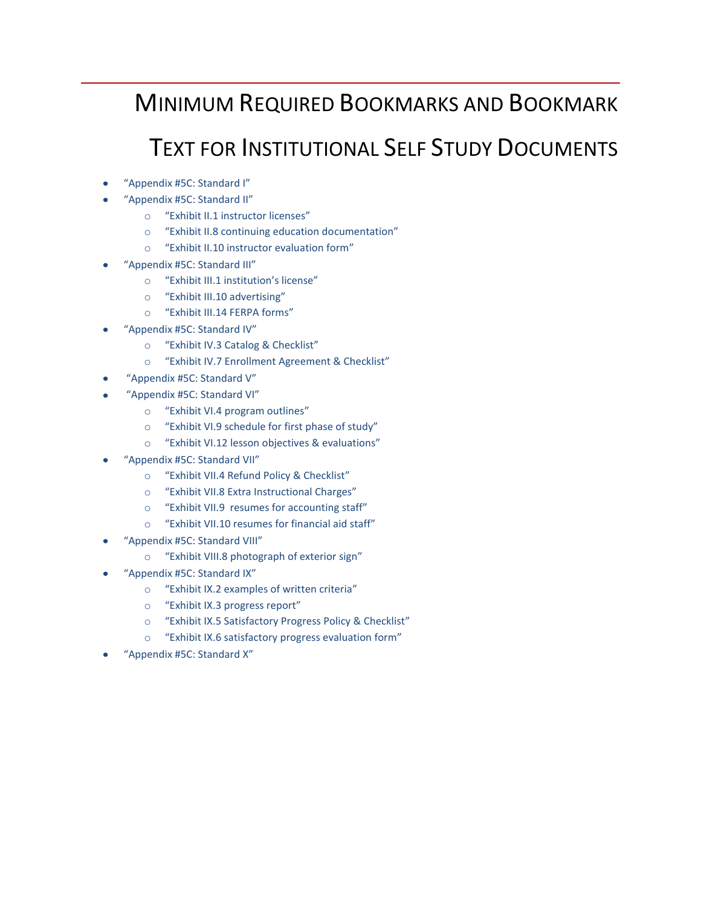### MINIMUM REQUIRED BOOKMARKS AND BOOKMARK

# TEXT FOR INSTITUTIONAL SELF STUDY DOCUMENTS

- "Appendix #5C: Standard I"
- "Appendix #5C: Standard II"
	- o "Exhibit II.1 instructor licenses"
	- o "Exhibit II.8 continuing education documentation"
	- o "Exhibit II.10 instructor evaluation form"
- "Appendix #5C: Standard III"
	- o "Exhibit III.1 institution's license"
	- o "Exhibit III.10 advertising"
	- o "Exhibit III.14 FERPA forms"
- "Appendix #5C: Standard IV"
	- o "Exhibit IV.3 Catalog & Checklist"
	- o "Exhibit IV.7 Enrollment Agreement & Checklist"
- "Appendix #5C: Standard V"
- "Appendix #5C: Standard VI"
	- o "Exhibit VI.4 program outlines"
	- o "Exhibit VI.9 schedule for first phase of study"
	- o "Exhibit VI.12 lesson objectives & evaluations"
- "Appendix #5C: Standard VII"
	- o "Exhibit VII.4 Refund Policy & Checklist"
	- o "Exhibit VII.8 Extra Instructional Charges"
	- o "Exhibit VII.9 resumes for accounting staff"
	- o "Exhibit VII.10 resumes for financial aid staff"
- "Appendix #5C: Standard VIII"
	- o "Exhibit VIII.8 photograph of exterior sign"
- "Appendix #5C: Standard IX"
	- o "Exhibit IX.2 examples of written criteria"
	- o "Exhibit IX.3 progress report"
	- o "Exhibit IX.5 Satisfactory Progress Policy & Checklist"
	- o "Exhibit IX.6 satisfactory progress evaluation form"
- "Appendix #5C: Standard X"